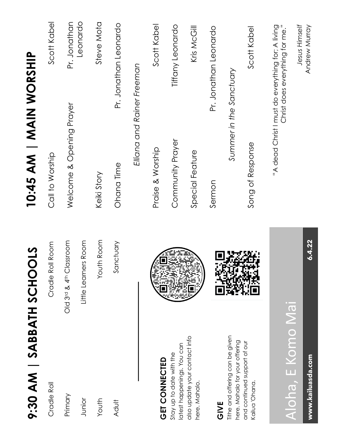| 9:30 AM   SABBATH SCHOOLS                                         |                         | 10:45 AM   MAIN WORSHIP  |                                                                                      |
|-------------------------------------------------------------------|-------------------------|--------------------------|--------------------------------------------------------------------------------------|
| Cradle Roll                                                       | Cradle Roll Room        | Call to Worship          | Scott Kabel                                                                          |
| Primary                                                           | Old 3rd & 4th Classroom | Welcome & Opening Prayer | Pr. Jonathan                                                                         |
| Junior                                                            | Little Learners Room    |                          | Leonardo                                                                             |
| Youth                                                             | Youth Room              | Keiki Story              | Steve Mota                                                                           |
| Adult                                                             | Sanctuary               | Ohana Time               | Pr. Jonathan Leonardo                                                                |
|                                                                   |                         |                          | Elliana and Rainer Freeman                                                           |
| <b>GET CONNECTED</b>                                              |                         | Praise & Worship         | Scott Kabel                                                                          |
| latest happenings. You can<br>Stay up to date with the            |                         | Community Prayer         | Tiffany Leonardo                                                                     |
| also update your contact info<br>here. Mahalo.                    |                         | Special Feature          | Kris McGill                                                                          |
| GIVE                                                              |                         | Sermon                   | Pr. Jonathan Leonardo                                                                |
| Tithe and offering can be given<br>here. Mahalo for your offering |                         |                          | Summer in the Sanctuary                                                              |
| and continued support of our<br>Kailua 'Ohana.                    |                         | Song of Response         | Scott Kabel                                                                          |
|                                                                   | $\ddot{\phantom{a}}$    |                          | "A dead Christ I must do everything for; A living<br>Christ does everything for me." |

## Aloha, E Komo Mai Aloha, E Komo Mai

**www.kailuasda.com 6.4.22** www.kailuasda.com

6.4.22

*Jesus Himself* Andrew Murray

Jesus Himself<br>Andrew Murray